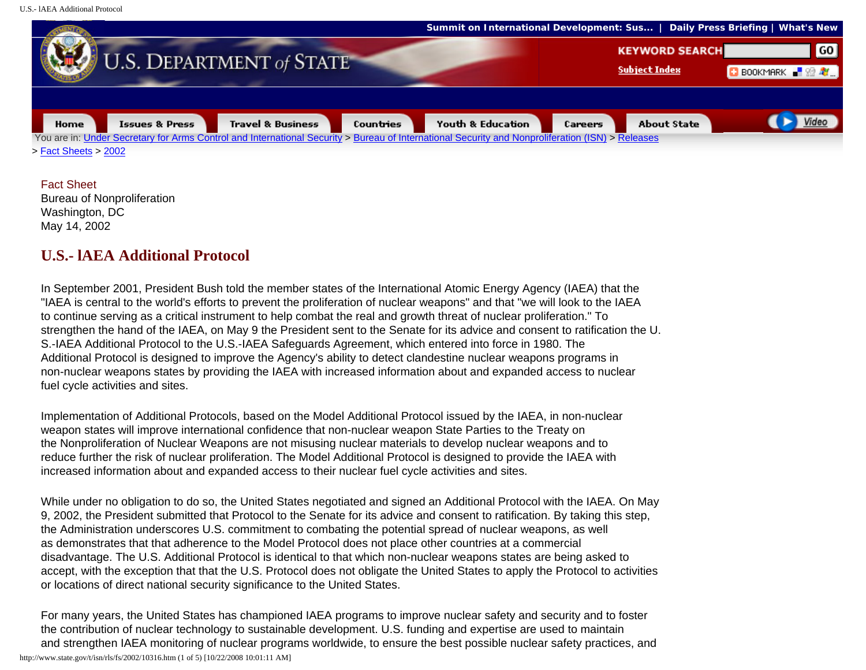U.S.- lAEA Additional Protocol



Fact Sheet Bureau of Nonproliferation Washington, DC May 14, 2002

## **U.S.- lAEA Additional Protocol**

In September 2001, President Bush told the member states of the International Atomic Energy Agency (IAEA) that the "IAEA is central to the world's efforts to prevent the proliferation of nuclear weapons" and that "we will look to the IAEA to continue serving as a critical instrument to help combat the real and growth threat of nuclear proliferation." To strengthen the hand of the IAEA, on May 9 the President sent to the Senate for its advice and consent to ratification the U. S.-IAEA Additional Protocol to the U.S.-IAEA Safeguards Agreement, which entered into force in 1980. The Additional Protocol is designed to improve the Agency's ability to detect clandestine nuclear weapons programs in non-nuclear weapons states by providing the IAEA with increased information about and expanded access to nuclear fuel cycle activities and sites.

Implementation of Additional Protocols, based on the Model Additional Protocol issued by the IAEA, in non-nuclear weapon states will improve international confidence that non-nuclear weapon State Parties to the Treaty on the Nonproliferation of Nuclear Weapons are not misusing nuclear materials to develop nuclear weapons and to reduce further the risk of nuclear proliferation. The Model Additional Protocol is designed to provide the IAEA with increased information about and expanded access to their nuclear fuel cycle activities and sites.

While under no obligation to do so, the United States negotiated and signed an Additional Protocol with the IAEA. On May 9, 2002, the President submitted that Protocol to the Senate for its advice and consent to ratification. By taking this step, the Administration underscores U.S. commitment to combating the potential spread of nuclear weapons, as well as demonstrates that that adherence to the Model Protocol does not place other countries at a commercial disadvantage. The U.S. Additional Protocol is identical to that which non-nuclear weapons states are being asked to accept, with the exception that that the U.S. Protocol does not obligate the United States to apply the Protocol to activities or locations of direct national security significance to the United States.

For many years, the United States has championed IAEA programs to improve nuclear safety and security and to foster the contribution of nuclear technology to sustainable development. U.S. funding and expertise are used to maintain and strengthen IAEA monitoring of nuclear programs worldwide, to ensure the best possible nuclear safety practices, and http://www.state.gov/t/isn/rls/fs/2002/10316.htm (1 of 5) [10/22/2008 10:01:11 AM]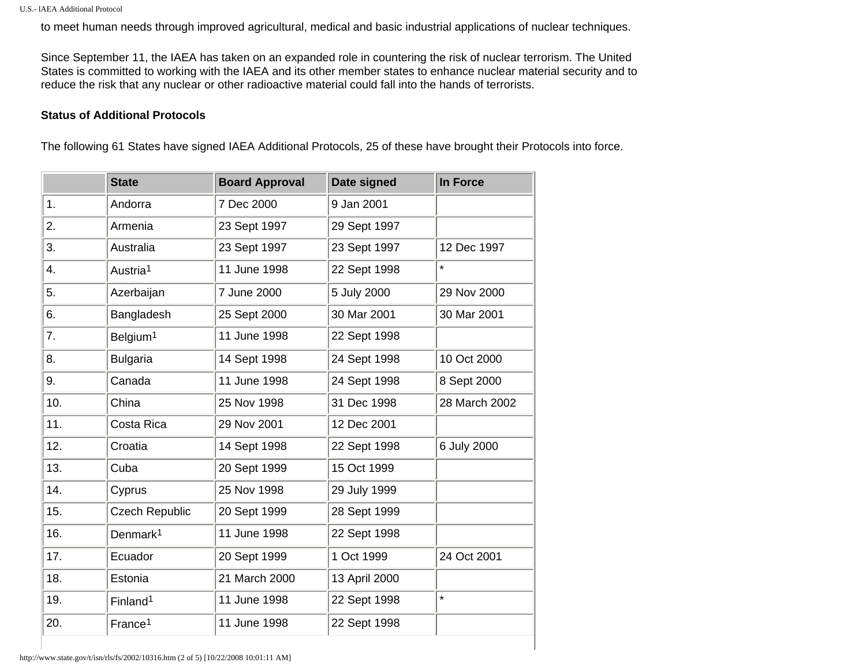to meet human needs through improved agricultural, medical and basic industrial applications of nuclear techniques.

Since September 11, the IAEA has taken on an expanded role in countering the risk of nuclear terrorism. The United States is committed to working with the IAEA and its other member states to enhance nuclear material security and to reduce the risk that any nuclear or other radioactive material could fall into the hands of terrorists.

## **Status of Additional Protocols**

The following 61 States have signed IAEA Additional Protocols, 25 of these have brought their Protocols into force.

|     | <b>State</b>          | <b>Board Approval</b> | Date signed   | In Force      |
|-----|-----------------------|-----------------------|---------------|---------------|
| 1.  | Andorra               | 7 Dec 2000            | 9 Jan 2001    |               |
| 2.  | Armenia               | 23 Sept 1997          | 29 Sept 1997  |               |
| 3.  | Australia             | 23 Sept 1997          | 23 Sept 1997  | 12 Dec 1997   |
| 4.  | Austria <sup>1</sup>  | 11 June 1998          | 22 Sept 1998  | $\star$       |
| 5.  | Azerbaijan            | 7 June 2000           | 5 July 2000   | 29 Nov 2000   |
| 6.  | Bangladesh            | 25 Sept 2000          | 30 Mar 2001   | 30 Mar 2001   |
| 7.  | Belgium <sup>1</sup>  | 11 June 1998          | 22 Sept 1998  |               |
| 8.  | <b>Bulgaria</b>       | 14 Sept 1998          | 24 Sept 1998  | 10 Oct 2000   |
| 9.  | Canada                | 11 June 1998          | 24 Sept 1998  | 8 Sept 2000   |
| 10. | China                 | 25 Nov 1998           | 31 Dec 1998   | 28 March 2002 |
| 11. | Costa Rica            | 29 Nov 2001           | 12 Dec 2001   |               |
| 12. | Croatia               | 14 Sept 1998          | 22 Sept 1998  | 6 July 2000   |
| 13. | Cuba                  | 20 Sept 1999          | 15 Oct 1999   |               |
| 14. | Cyprus                | 25 Nov 1998           | 29 July 1999  |               |
| 15. | <b>Czech Republic</b> | 20 Sept 1999          | 28 Sept 1999  |               |
| 16. | Denmark <sup>1</sup>  | 11 June 1998          | 22 Sept 1998  |               |
| 17. | Ecuador               | 20 Sept 1999          | 1 Oct 1999    | 24 Oct 2001   |
| 18. | Estonia               | 21 March 2000         | 13 April 2000 |               |
| 19. | Finland <sup>1</sup>  | 11 June 1998          | 22 Sept 1998  | $\star$       |
| 20. | France <sup>1</sup>   | 11 June 1998          | 22 Sept 1998  |               |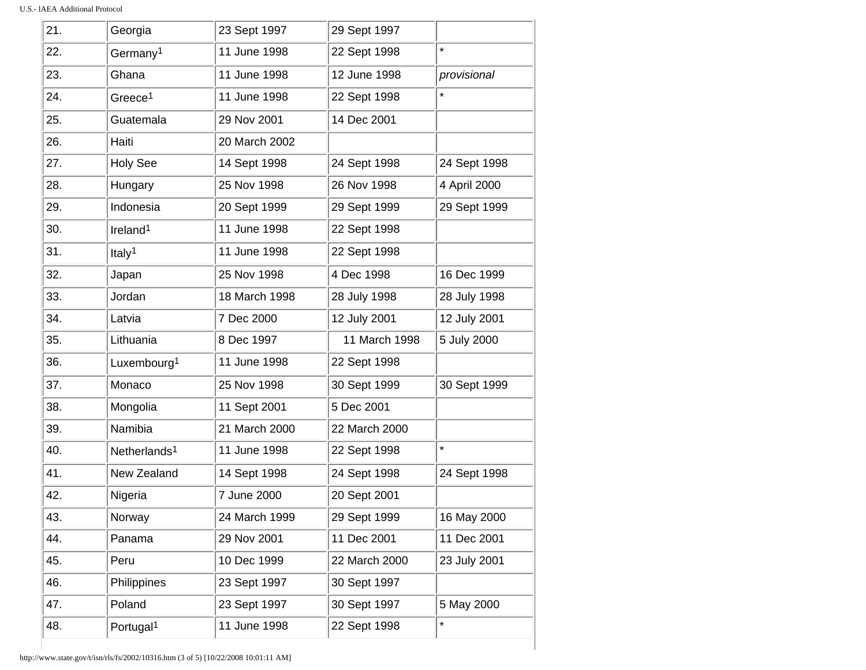| 21. | Georgia                  | 23 Sept 1997  | 29 Sept 1997  |              |
|-----|--------------------------|---------------|---------------|--------------|
| 22. | Germany <sup>1</sup>     | 11 June 1998  | 22 Sept 1998  | ¥            |
| 23. | Ghana                    | 11 June 1998  | 12 June 1998  | provisional  |
| 24. | Greece <sup>1</sup>      | 11 June 1998  | 22 Sept 1998  |              |
| 25. | Guatemala                | 29 Nov 2001   | 14 Dec 2001   |              |
| 26. | Haiti                    | 20 March 2002 |               |              |
| 27. | <b>Holy See</b>          | 14 Sept 1998  | 24 Sept 1998  | 24 Sept 1998 |
| 28. | Hungary                  | 25 Nov 1998   | 26 Nov 1998   | 4 April 2000 |
| 29. | Indonesia                | 20 Sept 1999  | 29 Sept 1999  | 29 Sept 1999 |
| 30. | Ireland <sup>1</sup>     | 11 June 1998  | 22 Sept 1998  |              |
| 31. | Italy <sup>1</sup>       | 11 June 1998  | 22 Sept 1998  |              |
| 32. | Japan                    | 25 Nov 1998   | 4 Dec 1998    | 16 Dec 1999  |
| 33. | Jordan                   | 18 March 1998 | 28 July 1998  | 28 July 1998 |
| 34. | Latvia                   | 7 Dec 2000    | 12 July 2001  | 12 July 2001 |
| 35. | Lithuania                | 8 Dec 1997    | 11 March 1998 | 5 July 2000  |
| 36. | Luxembourg <sup>1</sup>  | 11 June 1998  | 22 Sept 1998  |              |
| 37. | Monaco                   | 25 Nov 1998   | 30 Sept 1999  | 30 Sept 1999 |
| 38. | Mongolia                 | 11 Sept 2001  | 5 Dec 2001    |              |
| 39. | Namibia                  | 21 March 2000 | 22 March 2000 |              |
| 40. | Netherlands <sup>1</sup> | 11 June 1998  | 22 Sept 1998  | ¥            |
| 41. | New Zealand              | 14 Sept 1998  | 24 Sept 1998  | 24 Sept 1998 |
| 42. | Nigeria                  | 7 June 2000   | 20 Sept 2001  |              |
| 43. | Norway                   | 24 March 1999 | 29 Sept 1999  | 16 May 2000  |
| 44. | Panama                   | 29 Nov 2001   | 11 Dec 2001   | 11 Dec 2001  |
| 45. | Peru                     | 10 Dec 1999   | 22 March 2000 | 23 July 2001 |
| 46. | Philippines              | 23 Sept 1997  | 30 Sept 1997  |              |
| 47. | Poland                   | 23 Sept 1997  | 30 Sept 1997  | 5 May 2000   |
| 48. | Portugal <sup>1</sup>    | 11 June 1998  | 22 Sept 1998  | ×            |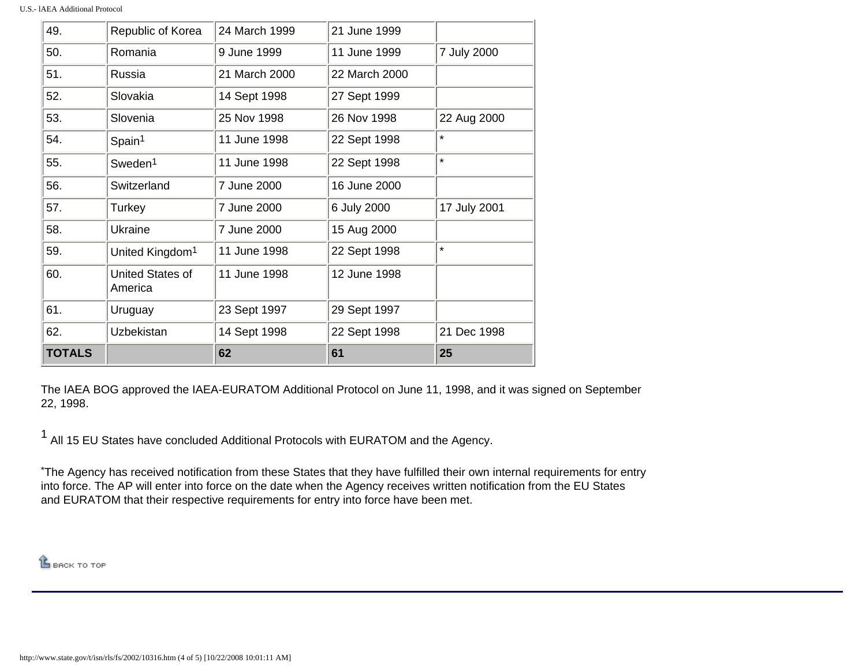| <b>TOTALS</b> |                             | 62            | 61            | 25           |
|---------------|-----------------------------|---------------|---------------|--------------|
| 62.           | Uzbekistan                  | 14 Sept 1998  | 22 Sept 1998  | 21 Dec 1998  |
| 61.           | Uruguay                     | 23 Sept 1997  | 29 Sept 1997  |              |
| 60.           | United States of<br>America | 11 June 1998  | 12 June 1998  |              |
| 59.           | United Kingdom <sup>1</sup> | 11 June 1998  | 22 Sept 1998  | $\star$      |
| 58.           | Ukraine                     | 7 June 2000   | 15 Aug 2000   |              |
| 57.           | Turkey                      | 7 June 2000   | 6 July 2000   | 17 July 2001 |
| 56.           | Switzerland                 | 7 June 2000   | 16 June 2000  |              |
| 55.           | Sweden <sup>1</sup>         | 11 June 1998  | 22 Sept 1998  | $\star$      |
| 54.           | Spain <sup>1</sup>          | 11 June 1998  | 22 Sept 1998  | $\star$      |
| 53.           | Slovenia                    | 25 Nov 1998   | 26 Nov 1998   | 22 Aug 2000  |
| 52.           | Slovakia                    | 14 Sept 1998  | 27 Sept 1999  |              |
| 51.           | Russia                      | 21 March 2000 | 22 March 2000 |              |
| 50.           | Romania                     | 9 June 1999   | 11 June 1999  | 7 July 2000  |
| 49.           | Republic of Korea           | 24 March 1999 | 21 June 1999  |              |

The IAEA BOG approved the IAEA-EURATOM Additional Protocol on June 11, 1998, and it was signed on September 22, 1998.

<sup>1</sup> All 15 EU States have concluded Additional Protocols with EURATOM and the Agency.

\*The Agency has received notification from these States that they have fulfilled their own internal requirements for entry into force. The AP will enter into force on the date when the Agency receives written notification from the EU States and EURATOM that their respective requirements for entry into force have been met.

**LE BACK TO TOP**